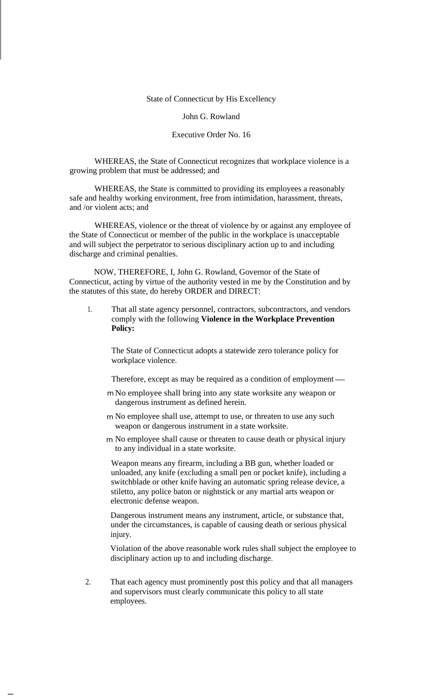State of Connecticut by His Excellency

John G. Rowland

## Executive Order No. 16

WHEREAS, the State of Connecticut recognizes that workplace violence is a growing problem that must be addressed; and

WHEREAS, the State is committed to providing its employees a reasonably safe and healthy working environment, free from intimidation, harassment, threats, and /or violent acts; and

WHEREAS, violence or the threat of violence by or against any employee of the State of Connecticut or member of the public in the workplace is unacceptable and will subject the perpetrator to serious disciplinary action up to and including discharge and criminal penalties.

NOW, THEREFORE, I, John G. Rowland, Governor of the State of Connecticut, acting by virtue of the authority vested in me by the Constitution and by the statutes of this state, do hereby ORDER and DIRECT:

That all state agency personnel, contractors, subcontractors, and vendors comply with the following **Violence in the Workplace Prevention Policy:** 1.

The State of Connecticut adopts a statewide zero tolerance policy for workplace violence.

Therefore, except as may be required as a condition of employment

- No employee shall bring into any state worksite any weapon or m dangerous instrument as defined herein.
- m No employee shall use, attempt to use, or threaten to use any such weapon or dangerous instrument in a state worksite.
- No employee shall cause or threaten to cause death or physical injury mto any individual in a state worksite.

Weapon means any firearm, including a BB gun, whether loaded or unloaded, any knife (excluding a small pen or pocket knife), including a switchblade or other knife having an automatic spring release device, a stiletto, any police baton or nightstick or any martial arts weapon or electronic defense weapon.

Dangerous instrument means any instrument, article, or substance that, under the circumstances, is capable of causing death or serious physical injury.

Violation of the above reasonable work rules shall subject the employee to disciplinary action up to and including discharge.

2. That each agency must prominently post this policy and that all managers and supervisors must clearly communicate this policy to all state employees.

-